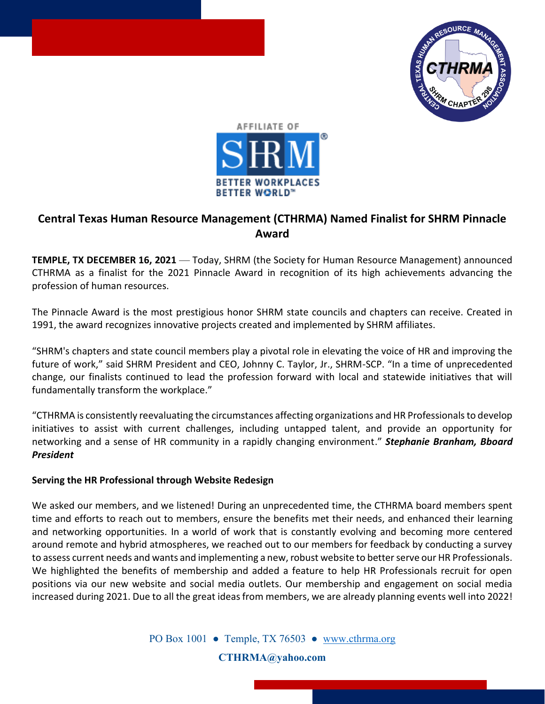



## **Central Texas Human Resource Management (CTHRMA) Named Finalist for SHRM Pinnacle Award**

**TEMPLE, TX DECEMBER 16, 2021** — Today, SHRM (the Society for Human Resource Management) announced CTHRMA as a finalist for the 2021 Pinnacle Award in recognition of its high achievements advancing the profession of human resources.

The Pinnacle Award is the most prestigious honor SHRM state councils and chapters can receive. Created in 1991, the award recognizes innovative projects created and implemented by SHRM affiliates.

"SHRM's chapters and state council members play a pivotal role in elevating the voice of HR and improving the future of work," said SHRM President and CEO, Johnny C. Taylor, Jr., SHRM-SCP. "In a time of unprecedented change, our finalists continued to lead the profession forward with local and statewide initiatives that will fundamentally transform the workplace."

"CTHRMA is consistently reevaluating the circumstances affecting organizations and HR Professionals to develop initiatives to assist with current challenges, including untapped talent, and provide an opportunity for networking and a sense of HR community in a rapidly changing environment." *Stephanie Branham, Bboard President*

## **Serving the HR Professional through Website Redesign**

We asked our members, and we listened! During an unprecedented time, the CTHRMA board members spent time and efforts to reach out to members, ensure the benefits met their needs, and enhanced their learning and networking opportunities. In a world of work that is constantly evolving and becoming more centered around remote and hybrid atmospheres, we reached out to our members for feedback by conducting a survey to assess current needs and wants and implementing a new, robust website to better serve our HR Professionals. We highlighted the benefits of membership and added a feature to help HR Professionals recruit for open positions via our new website and social media outlets. Our membership and engagement on social media increased during 2021. Due to all the great ideas from members, we are already planning events well into 2022!

PO Box 1001 • Temple, TX 76503 • www.cthrma.org

**[CTHRMA@yahoo.com](mailto:CTHRMA@yahoo.com)**